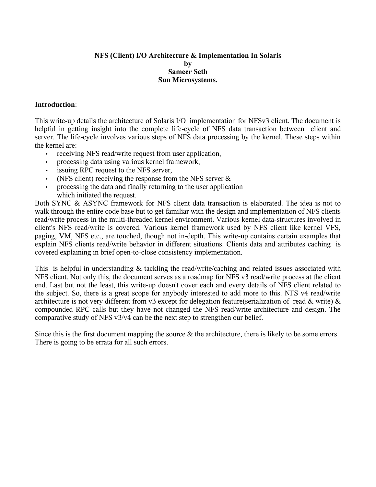## **NFS (Client) I/O Architecture & Implementation In Solaris by Sameer Seth Sun Microsystems.**

### **Introduction**:

This write-up details the architecture of Solaris I/O implementation for NFSv3 client. The document is helpful in getting insight into the complete life-cycle of NFS data transaction between client and server. The life-cycle involves various steps of NFS data processing by the kernel. These steps within the kernel are:

- receiving NFS read/write request from user application,
- processing data using various kernel framework,
- issuing RPC request to the NFS server,
- (NFS client) receiving the response from the NFS server  $\&$
- processing the data and finally returning to the user application which initiated the request.

Both SYNC & ASYNC framework for NFS client data transaction is elaborated. The idea is not to walk through the entire code base but to get familiar with the design and implementation of NFS clients read/write process in the multi-threaded kernel environment. Various kernel data-structures involved in client's NFS read/write is covered. Various kernel framework used by NFS client like kernel VFS, paging, VM, NFS etc., are touched, though not in-depth. This write-up contains certain examples that explain NFS clients read/write behavior in different situations. Clients data and attributes caching is covered explaining in brief open-to-close consistency implementation.

This is helpful in understanding & tackling the read/write/caching and related issues associated with NFS client. Not only this, the document serves as a roadmap for NFS v3 read/write process at the client end. Last but not the least, this write-up doesn't cover each and every details of NFS client related to the subject. So, there is a great scope for anybody interested to add more to this. NFS v4 read/write architecture is not very different from v3 except for delegation feature(serialization of read & write) & compounded RPC calls but they have not changed the NFS read/write architecture and design. The comparative study of NFS v3/v4 can be the next step to strengthen our belief.

Since this is the first document mapping the source & the architecture, there is likely to be some errors. There is going to be errata for all such errors.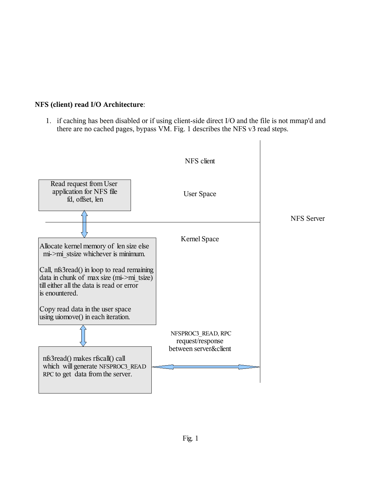# **NFS (client) read I/O Architecture**:

1. if caching has been disabled or if using client-side direct I/O and the file is not mmap'd and there are no cached pages, bypass VM. Fig. 1 describes the NFS v3 read steps.

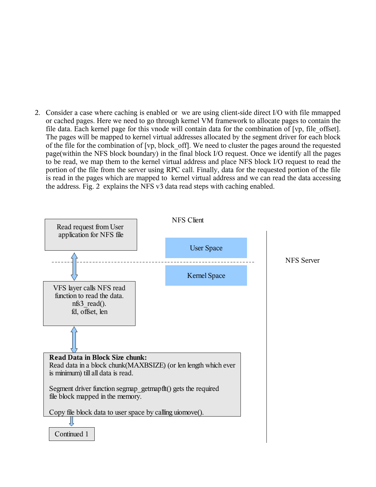2. Consider a case where caching is enabled or we are using client-side direct I/O with file mmapped or cached pages. Here we need to go through kernel VM framework to allocate pages to contain the file data. Each kernel page for this vnode will contain data for the combination of [vp, file\_offset]. The pages will be mapped to kernel virtual addresses allocated by the segment driver for each block of the file for the combination of [vp, block\_off]. We need to cluster the pages around the requested page(within the NFS block boundary) in the final block I/O request. Once we identify all the pages to be read, we map them to the kernel virtual address and place NFS block I/O request to read the portion of the file from the server using RPC call. Finally, data for the requested portion of the file is read in the pages which are mapped to kernel virtual address and we can read the data accessing the address. Fig. 2 explains the NFS v3 data read steps with caching enabled.

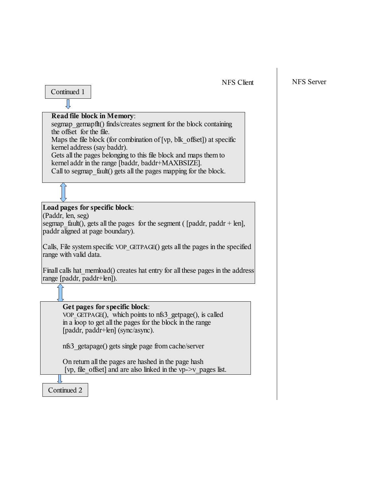#### NFS Client

#### NFS Server

# Continued 1 Jl

## **Read file block in Memory**:

segmap gemapflt() finds/creates segment for the block containing the offset for the file.

Maps the file block (for combination of  $[\forall p, \exists k \text{ of } S]$ ) at specific kernel address (say baddr).

Gets all the pages belonging to this file block and maps them to kernel addr in the range [baddr, baddr+MAXBSIZE].

Call to segmap fault() gets all the pages mapping for the block.

## **Load pages for specific block**:

(Paddr, len, seg)

segmap fault(), gets all the pages for the segment ( [paddr, paddr + len], paddr aligned at page boundary).

Calls, File system specific VOP\_GETPAGE() gets all the pages in the specified range with valid data.

Finall calls hat memload() creates hat entry for all these pages in the address range [paddr, paddr+len]).

## **Get pages for specific block**:

VOP\_GETPAGE(), which points to nfs3\_getpage(), is called in a loop to get all the pages for the block in the range [paddr, paddr+len] (sync/async).

nfs3\_getapage() gets single page from cache/server

On return all the pages are hashed in the page hash [vp, file offset] and are also linked in the vp- $>v$  pages list.

Continued 2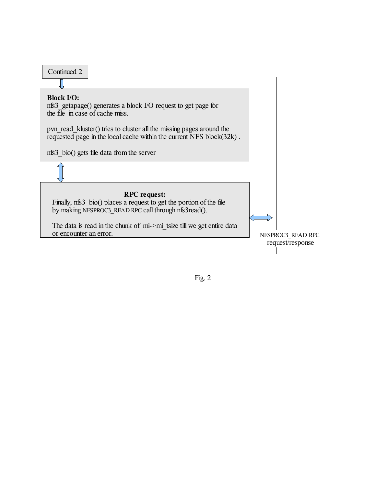

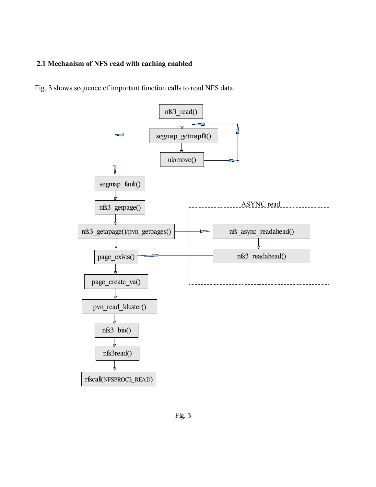# **2.1 Mechanism of NFS read with caching enabled**

Fig. 3 shows sequence of important function calls to read NFS data.

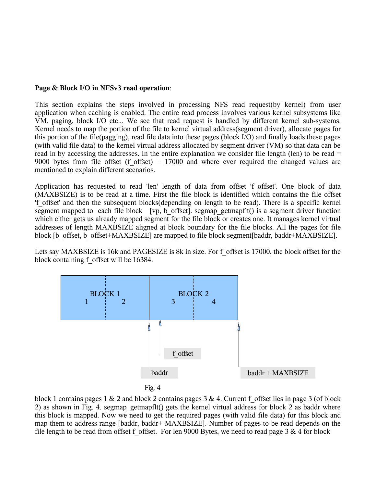## **Page & Block I/O in NFSv3 read operation**:

This section explains the steps involved in processing NFS read request(by kernel) from user application when caching is enabled. The entire read process involves various kernel subsystems like VM, paging, block I/O etc.,. We see that read request is handled by different kernel sub-systems. Kernel needs to map the portion of the file to kernel virtual address(segment driver), allocate pages for this portion of the file(pagging), read file data into these pages (block I/O) and finally loads these pages (with valid file data) to the kernel virtual address allocated by segment driver (VM) so that data can be read in by accessing the addresses. In the entire explanation we consider file length (len) to be read = 9000 bytes from file offset (f offset) = 17000 and where ever required the changed values are mentioned to explain different scenarios.

Application has requested to read 'len' length of data from offset 'f offset'. One block of data (MAXBSIZE) is to be read at a time. First the file block is identified which contains the file offset 'f\_offset' and then the subsequent blocks(depending on length to be read). There is a specific kernel segment mapped to each file block  $[\nu p, b \text{ offset}]$ . segmap getmapflt() is a segment driver function which either gets us already mapped segment for the file block or creates one. It manages kernel virtual addresses of length MAXBSIZE aligned at block boundary for the file blocks. All the pages for file block [b\_offset, b\_offset+MAXBSIZE] are mapped to file block segment[baddr, baddr+MAXBSIZE].

Lets say MAXBSIZE is 16k and PAGESIZE is 8k in size. For f\_offset is 17000, the block offset for the block containing f\_offset will be 16384.





block 1 contains pages 1 & 2 and block 2 contains pages 3 & 4. Current f\_offset lies in page 3 (of block 2) as shown in Fig. 4. segmap getmapflt() gets the kernel virtual address for block 2 as baddr where this block is mapped. Now we need to get the required pages (with valid file data) for this block and map them to address range [baddr, baddr+ MAXBSIZE]. Number of pages to be read depends on the file length to be read from offset f offset. For len 9000 Bytes, we need to read page 3  $\&$  4 for block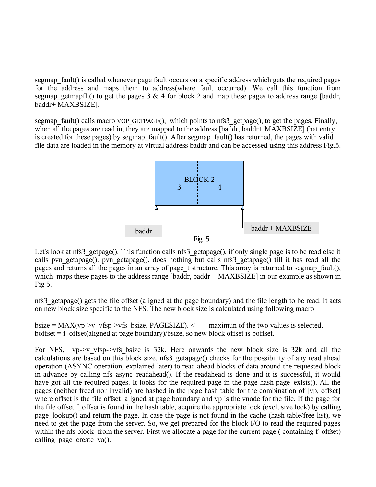segmap\_fault() is called whenever page fault occurs on a specific address which gets the required pages for the address and maps them to address(where fault occurred). We call this function from segmap getmapflt() to get the pages  $3 \& 4$  for block 2 and map these pages to address range [baddr, baddr+ MAXBSIZE].

segmap fault() calls macro VOP GETPAGE(), which points to nfs3 getpage(), to get the pages. Finally, when all the pages are read in, they are mapped to the address [baddr, baddr+ MAXBSIZE] (hat entry is created for these pages) by segmap fault(). After segmap fault() has returned, the pages with valid file data are loaded in the memory at virtual address baddr and can be accessed using this address Fig.5.



Let's look at nfs3 getpage(). This function calls nfs3 getapage(), if only single page is to be read else it calls pvn\_getapage(). pvn\_getapage(), does nothing but calls nfs3\_getapage() till it has read all the pages and returns all the pages in an array of page t structure. This array is returned to segmap fault(), which maps these pages to the address range [baddr, baddr + MAXBSIZE] in our example as shown in Fig 5.

nfs3\_getapage() gets the file offset (aligned at the page boundary) and the file length to be read. It acts on new block size specific to the NFS. The new block size is calculated using following macro –

bsize = MAX(vp- $>$ v vfsp- $>$ vfs bsize, PAGESIZE). <----- maximun of the two values is selected.  $b$ offset = f offset(aligned at page boundary)/bsize, so new block offset is boffset.

For NFS,  $vp \rightarrow v$  vfsp- $\rightarrow v$ fs bsize is 32k. Here onwards the new block size is 32k and all the calculations are based on this block size. nfs3\_getapage() checks for the possibility of any read ahead operation (ASYNC operation, explained later) to read ahead blocks of data around the requested block in advance by calling nfs async readahead(). If the readahead is done and it is successful, it would have got all the required pages. It looks for the required page in the page hash page exists(). All the pages (neither freed nor invalid) are hashed in the page hash table for the combination of [vp, offset] where offset is the file offset aligned at page boundary and vp is the vnode for the file. If the page for the file offset f offset is found in the hash table, acquire the appropriate lock (exclusive lock) by calling page lookup() and return the page. In case the page is not found in the cache (hash table/free list), we need to get the page from the server. So, we get prepared for the block I/O to read the required pages within the nfs block from the server. First we allocate a page for the current page (containing f offset) calling page create  $va()$ .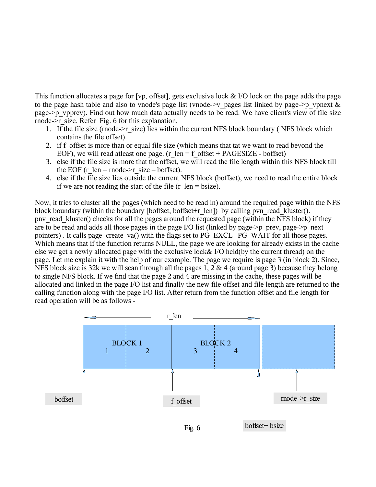This function allocates a page for [vp, offset], gets exclusive lock & I/O lock on the page adds the page to the page hash table and also to vnode's page list (vnode- $\geq v$  pages list linked by page- $\geq p$  vpnext & page->p\_vpprev). Find out how much data actually needs to be read. We have client's view of file size rnode->r\_size. Refer Fig. 6 for this explanation.

- 1. If the file size (rnode- $\ge$ r size) lies within the current NFS block boundary ( NFS block which contains the file offset).
- 2. if f offset is more than or equal file size (which means that tat we want to read beyond the EOF), we will read at least one page. (r\_len = f\_offset + PAGESIZE - boffset)
- 3. else if the file size is more that the offset, we will read the file length within this NFS block till the EOF (r\_len = rnode- $\geq r$  size – boffset).
- 4. else if the file size lies outside the current NFS block (boffset), we need to read the entire block if we are not reading the start of the file  $(r \text{ len} = \text{bsize})$ .

Now, it tries to cluster all the pages (which need to be read in) around the required page within the NFS block boundary (within the boundary [boffset, boffset+r\_len]) by calling pvn\_read\_kluster(). pnv\_read\_kluster() checks for all the pages around the requested page (within the NFS block) if they are to be read and adds all those pages in the page I/O list (linked by page- $\geq p$  prev, page- $\geq p$  next pointers). It calls page create va() with the flags set to PG\_EXCL | PG\_WAIT for all those pages. Which means that if the function returns NULL, the page we are looking for already exists in the cache else we get a newly allocated page with the exclusive lock& I/O held(by the current thread) on the page. Let me explain it with the help of our example. The page we require is page 3 (in block 2). Since, NFS block size is 32k we will scan through all the pages 1, 2 & 4 (around page 3) because they belong to single NFS block. If we find that the page 2 and 4 are missing in the cache, these pages will be allocated and linked in the page I/O list and finally the new file offset and file length are returned to the calling function along with the page I/O list. After return from the function offset and file length for read operation will be as follows -

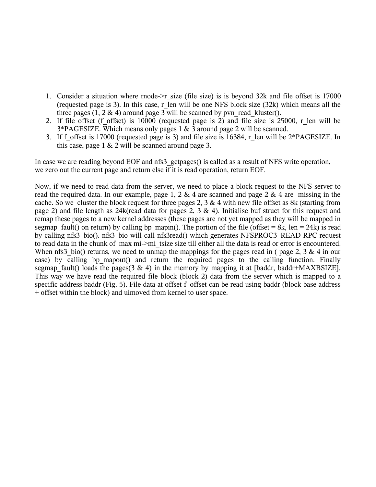- 1. Consider a situation where rnode->r\_size (file size) is is beyond 32k and file offset is 17000 (requested page is 3). In this case, r\_len will be one NFS block size  $(32k)$  which means all the three pages  $(1, 2 \& 4)$  around page 3 will be scanned by pyn\_read\_kluster().
- 2. If file offset (f offset) is 10000 (requested page is 2) and file size is 25000, r\_len will be 3\*PAGESIZE. Which means only pages 1 & 3 around page 2 will be scanned.
- 3. If f\_offset is 17000 (requested page is 3) and file size is 16384, r\_len will be 2\*PAGESIZE. In this case, page 1 & 2 will be scanned around page 3.

In case we are reading beyond EOF and nfs3 getpages() is called as a result of NFS write operation, we zero out the current page and return else if it is read operation, return EOF.

Now, if we need to read data from the server, we need to place a block request to the NFS server to read the required data. In our example, page 1, 2 & 4 are scanned and page 2 & 4 are missing in the cache. So we cluster the block request for three pages 2,  $3 \& 4$  with new file offset as 8k (starting from page 2) and file length as 24k(read data for pages 2, 3 & 4). Initialise buf struct for this request and remap these pages to a new kernel addresses (these pages are not yet mapped as they will be mapped in segmap fault() on return) by calling bp\_mapin(). The portion of the file (offset = 8k, len = 24k) is read by calling nfs3\_bio(). nfs3\_bio will call nfs3read() which generates NFSPROC3\_READ RPC request to read data in the chunk of max mi->mi\_tsize size till either all the data is read or error is encountered. When nfs3 bio() returns, we need to unmap the mappings for the pages read in ( page 2, 3 & 4 in our case) by calling bp mapout() and return the required pages to the calling function. Finally segmap fault() loads the pages(3 & 4) in the memory by mapping it at [baddr, baddr+MAXBSIZE]. This way we have read the required file block (block 2) data from the server which is mapped to a specific address baddr (Fig. 5). File data at offset f offset can be read using baddr (block base address + offset within the block) and uimoved from kernel to user space.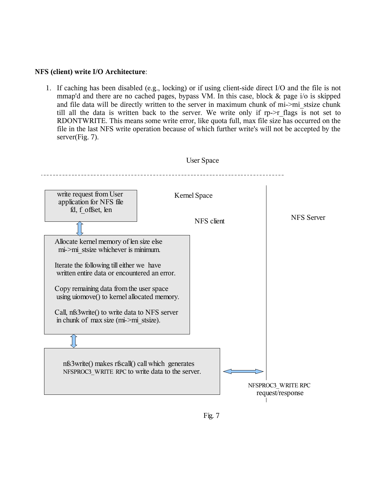#### **NFS (client) write I/O Architecture**:

1. If caching has been disabled (e.g., locking) or if using client-side direct I/O and the file is not mmap'd and there are no cached pages, bypass VM. In this case, block & page i/o is skipped and file data will be directly written to the server in maximum chunk of mi->mi\_stsize chunk till all the data is written back to the server. We write only if rp->r flags is not set to RDONTWRITE. This means some write error, like quota full, max file size has occurred on the file in the last NFS write operation because of which further write's will not be accepted by the server(Fig. 7).



![](_page_10_Figure_3.jpeg)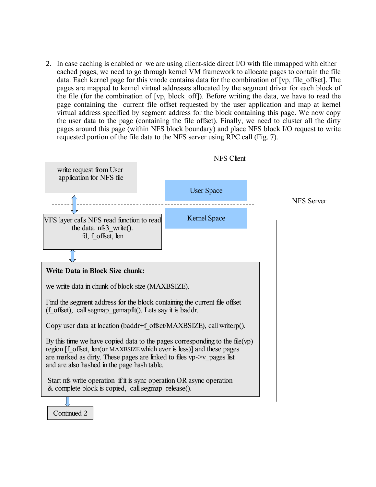2. In case caching is enabled or we are using client-side direct I/O with file mmapped with either cached pages, we need to go through kernel VM framework to allocate pages to contain the file data. Each kernel page for this vnode contains data for the combination of [vp, file\_offset]. The pages are mapped to kernel virtual addresses allocated by the segment driver for each block of the file (for the combination of [vp, block\_off]). Before writing the data, we have to read the page containing the current file offset requested by the user application and map at kernel virtual address specified by segment address for the block containing this page. We now copy the user data to the page (containing the file offset). Finally, we need to cluster all the dirty pages around this page (within NFS block boundary) and place NFS block I/O request to write requested portion of the file data to the NFS server using RPC call (Fig. 7).

![](_page_11_Figure_1.jpeg)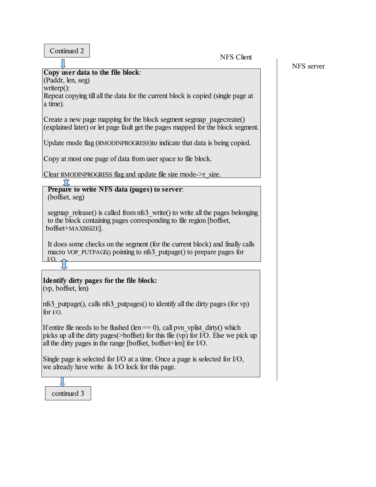| Continued 2 |
|-------------|
|-------------|

NFS Client

## **Copy user data to the file block**:

(Paddr, len, seg) writerp():

Repeat copying till all the data for the current block is copied (single page at a time).

Create a new page mapping for the block segment segmap pagecreate() (explained later) or let page fault get the pages mapped for the block segment.

Update rnode flag (RMODINPROGRESS)to indicate that data is being copied.

Copy at most one page of data from user space to file block.

Clear RMODINPROGRESS flag and update file size rnode- $\geq r$  size.

### **Prepare to write NFS data (pages) to server**: (boffset, seg)

segmap release() is called from nfs3 write() to write all the pages belonging to the block containing pages corresponding to file region [boffset, boffset+MAXBSIZE].

It does some checks on the segment (for the current block) and finally calls macro VOP\_PUTPAGE() pointing to nfs3\_putpage() to prepare pages for  $I/O$ 

### **Identify dirty pages for the file block:** (vp, boffset, len)

nfs3\_putpage(), calls nfs3\_putpages() to identify all the dirty pages (for vp) for I/O.

If entire file needs to be flushed (len  $== 0$ ), call pvn\_vplist\_dirty() which picks up all the dirty pages(>boffset) for this file (vp) for I/O. Else we pick up all the dirty pages in the range [boffset, boffset+len] for I/O.

Single page is selected for I/O at a time. Once a page is selected for I/O, we already have write & I/O lock for this page.

![](_page_12_Picture_17.jpeg)

NFS server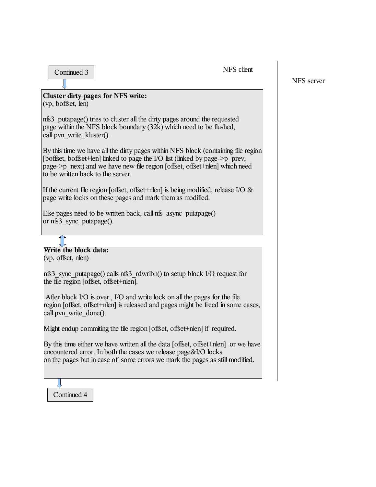NFS client

# Continued 3

**Cluster dirty pages for NFS write:** (vp, boffset, len)

nfs3\_putapage() tries to cluster all the dirty pages around the requested page within the NFS block boundary (32k) which need to be flushed, call pvn\_write\_kluster().

By this time we have all the dirty pages within NFS block (containing file region [boffset, boffset+len] linked to page the I/O list (linked by page- $\geq p$  prev, page->p\_next) and we have new file region [offset, offset+nlen] which need to be written back to the server.

If the current file region [offset, offset+nlen] is being modified, release I/O  $\&$ page write locks on these pages and mark them as modified.

Else pages need to be written back, call nfs async putapage() or nfs3\_sync\_putapage().

**Write the block data:** (vp, offset, nlen)

nfs3\_sync\_putapage() calls nfs3\_rdwrlbn() to setup block I/O request for the file region [offset, offset+nlen].

After block I/O is over , I/O and write lock on all the pages for the file region [offset, offset+nlen] is released and pages might be freed in some cases, call pyn\_write\_done().

Might endup commiting the file region [offset, offset+nlen] if required.

By this time either we have written all the data [offset, offset+nlen] or we have encountered error. In both the cases we release page&I/O locks on the pages but in case of some errors we mark the pages as still modified.

Continued 4

NFS server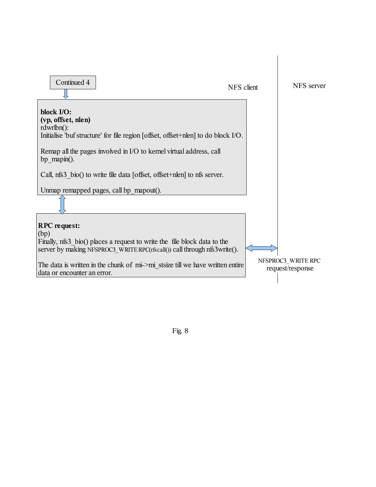![](_page_14_Figure_0.jpeg)

Fig. 8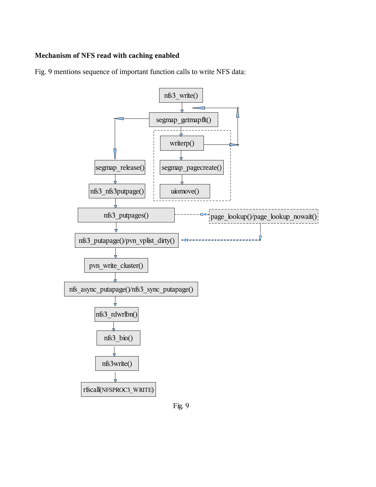# **Mechanism of NFS read with caching enabled**

Fig. 9 mentions sequence of important function calls to write NFS data:

![](_page_15_Figure_2.jpeg)

Fig. 9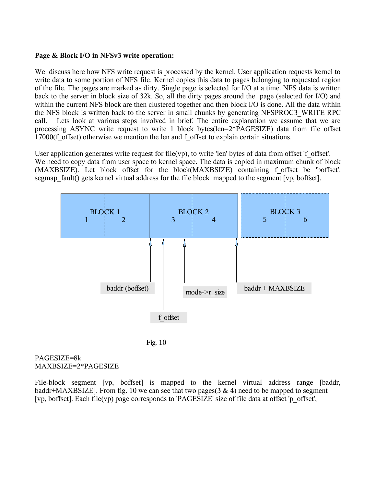### **Page & Block I/O in NFSv3 write operation:**

We discuss here how NFS write request is processed by the kernel. User application requests kernel to write data to some portion of NFS file. Kernel copies this data to pages belonging to requested region of the file. The pages are marked as dirty. Single page is selected for I/O at a time. NFS data is written back to the server in block size of 32k. So, all the dirty pages around the page (selected for I/O) and within the current NFS block are then clustered together and then block I/O is done. All the data within the NFS block is written back to the server in small chunks by generating NFSPROC3\_WRITE RPC call. Lets look at various steps involved in brief. The entire explanation we assume that we are processing ASYNC write request to write 1 block bytes(len=2\*PAGESIZE) data from file offset 17000(f offset) otherwise we mention the len and f offset to explain certain situations.

User application generates write request for file(vp), to write 'len' bytes of data from offset 'f\_offset'. We need to copy data from user space to kernel space. The data is copied in maximum chunk of block (MAXBSIZE). Let block offset for the block(MAXBSIZE) containing f\_offset be 'boffset'. segmap fault() gets kernel virtual address for the file block mapped to the segment [vp, boffset].

![](_page_16_Figure_3.jpeg)

Fig. 10

#### PAGESIZE=8k MAXBSIZE=2\*PAGESIZE

File-block segment [vp, boffset] is mapped to the kernel virtual address range [baddr, baddr+MAXBSIZE]. From fig. 10 we can see that two pages(3 & 4) need to be mapped to segment [vp, boffset]. Each file(vp) page corresponds to 'PAGESIZE' size of file data at offset 'p\_offset',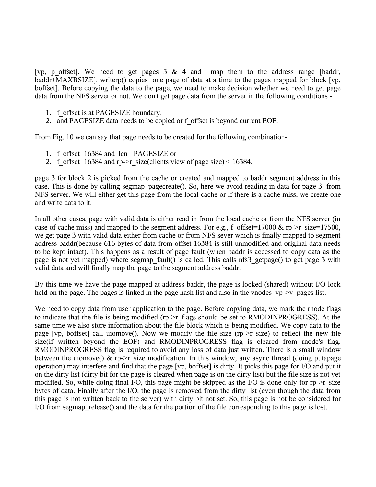[vp, p offset]. We need to get pages 3 & 4 and map them to the address range [baddr, baddr+MAXBSIZE]. writerp() copies one page of data at a time to the pages mapped for block [vp, boffset]. Before copying the data to the page, we need to make decision whether we need to get page data from the NFS server or not. We don't get page data from the server in the following conditions -

- 1. f\_offset is at PAGESIZE boundary.
- 2. and PAGESIZE data needs to be copied or f\_offset is beyond current EOF.

From Fig. 10 we can say that page needs to be created for the following combination-

- 1. f\_offset=16384 and len= PAGESIZE or
- 2. f offset=16384 and rp- $\ge$ r size(clients view of page size) < 16384.

page 3 for block 2 is picked from the cache or created and mapped to baddr segment address in this case. This is done by calling segmap\_pagecreate(). So, here we avoid reading in data for page 3 from NFS server. We will either get this page from the local cache or if there is a cache miss, we create one and write data to it.

In all other cases, page with valid data is either read in from the local cache or from the NFS server (in case of cache miss) and mapped to the segment address. For e.g., f\_offset=17000 & rp- $\ge$ r\_size=17500, we get page 3 with valid data either from cache or from NFS sever which is finally mapped to segment address baddr(because 616 bytes of data from offset 16384 is still unmodified and original data needs to be kept intact). This happens as a result of page fault (when baddr is accessed to copy data as the page is not yet mapped) where segmap fault() is called. This calls nfs3 getpage() to get page 3 with valid data and will finally map the page to the segment address baddr.

By this time we have the page mapped at address baddr, the page is locked (shared) without I/O lock held on the page. The pages is linked in the page hash list and also in the vnodes vp- $\rightarrow$ v pages list.

We need to copy data from user application to the page. Before copying data, we mark the rnode flags to indicate that the file is being modified (rp->r\_flags should be set to RMODINPROGRESS). At the same time we also store information about the file block which is being modified. We copy data to the page  $[vp,$  boffset] call uiomove(). Now we modify the file size  $(p\rightarrow r$  size) to reflect the new file size(if written beyond the EOF) and RMODINPROGRESS flag is cleared from rnode's flag. RMODINPROGRESS flag is required to avoid any loss of data just written. There is a small window between the uiomove() & rp- $\ge$ r size modification. In this window, any async thread (doing putapage operation) may interfere and find that the page [vp, boffset] is dirty. It picks this page for I/O and put it on the dirty list (dirty bit for the page is cleared when page is on the dirty list) but the file size is not yet modified. So, while doing final I/O, this page might be skipped as the I/O is done only for rp- $\geq r$  size bytes of data. Finally after the I/O, the page is removed from the dirty list (even though the data from this page is not written back to the server) with dirty bit not set. So, this page is not be considered for I/O from segmap release() and the data for the portion of the file corresponding to this page is lost.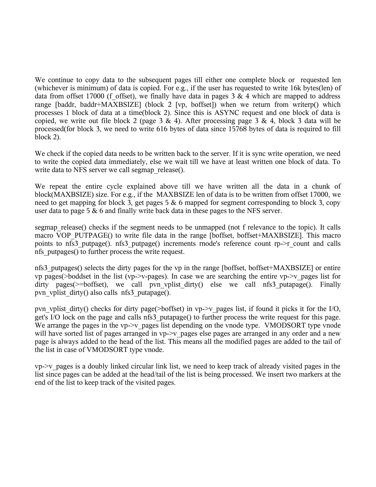We continue to copy data to the subsequent pages till either one complete block or requested len (whichever is minimum) of data is copied. For e.g., if the user has requested to write 16k bytes(len) of data from offset 17000 (f offset), we finally have data in pages 3  $\&$  4 which are mapped to address range [baddr, baddr+MAXBSIZE] (block 2 [vp, boffset]) when we return from writerp() which processes 1 block of data at a time(block 2). Since this is ASYNC request and one block of data is copied, we write out file block 2 (page 3 & 4). After processing page 3 & 4, block 3 data will be processed(for block 3, we need to write 616 bytes of data since 15768 bytes of data is required to fill block 2).

We check if the copied data needs to be written back to the server. If it is sync write operation, we need to write the copied data immediately, else we wait till we have at least written one block of data. To write data to NFS server we call segmap release().

We repeat the entire cycle explained above till we have written all the data in a chunk of block(MAXBSIZE) size. For e.g., if the MAXBSIZE len of data is to be written from offset 17000, we need to get mapping for block 3, get pages 5 & 6 mapped for segment corresponding to block 3, copy user data to page 5 & 6 and finally write back data in these pages to the NFS server.

segmap release() checks if the segment needs to be unmapped (not f relevance to the topic). It calls macro VOP\_PUTPAGE() to write file data in the range [boffset, boffset+MAXBSIZE]. This macro points to nfs3 putpage(). nfs3 putpage() increments rnode's reference count rp- $\ge$ r count and calls nfs\_putpages() to further process the write request.

nfs3\_putpages() selects the dirty pages for the vp in the range [boffset, boffset+MAXBSIZE] or entire vp pages(>boddset in the list (vp->v-pages). In case we are searching the entire vp->v\_pages list for dirty pages( $>=$ boffset), we call pvn vplist dirty() else we call nfs3 putapage(). Finally pvn\_vplist\_dirty() also calls nfs3\_putapage().

pvn vplist dirty() checks for dirty page( $>$ boffset) in vp- $>$ v pages list, if found it picks it for the I/O, get's I/O lock on the page and calls nfs3\_putapage() to further process the write request for this page. We arrange the pages in the vp- $\geq$  pages list depending on the vnode type. VMODSORT type vnode will have sorted list of pages arranged in vp- $\geq$  pages else pages are arranged in any order and a new page is always added to the head of the list. This means all the modified pages are added to the tail of the list in case of VMODSORT type vnode.

 $vp\rightarrow v$  pages is a doubly linked circular link list, we need to keep track of already visited pages in the list since pages can be added at the head/tail of the list is being processed. We insert two markers at the end of the list to keep track of the visited pages.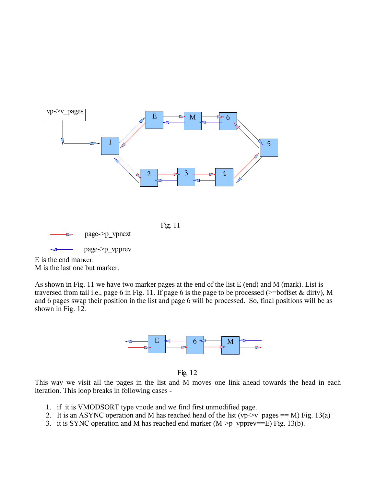![](_page_19_Figure_0.jpeg)

![](_page_19_Figure_1.jpeg)

page->p\_vpnext

page->p\_vpprev

E is the end marker. M is the last one but marker.

As shown in Fig. 11 we have two marker pages at the end of the list E (end) and M (mark). List is traversed from tail i.e., page 6 in Fig. 11. If page 6 is the page to be processed (>=boffset & dirty), M and 6 pages swap their position in the list and page 6 will be processed. So, final positions will be as shown in Fig. 12.

![](_page_19_Figure_6.jpeg)

Fig. 12

This way we visit all the pages in the list and M moves one link ahead towards the head in each iteration. This loop breaks in following cases -

- 1. if it is VMODSORT type vnode and we find first unmodified page.
- 2. It is an ASYNC operation and M has reached head of the list (vp- $\geq$ v pages == M) Fig. 13(a)
- 3. it is SYNC operation and M has reached end marker  $(M \rightarrow p \text{ upper} == E)$  Fig. 13(b).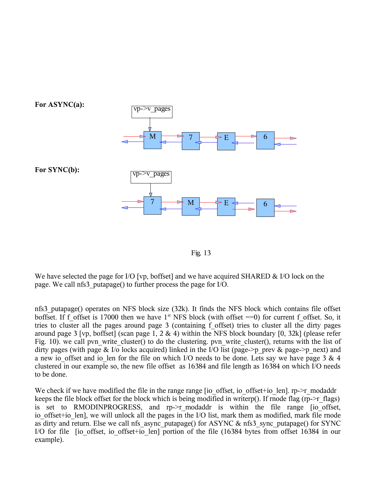![](_page_20_Figure_0.jpeg)

![](_page_20_Figure_1.jpeg)

We have selected the page for I/O [vp, boffset] and we have acquired SHARED & I/O lock on the page. We call nfs3\_putapage() to further process the page for I/O.

nfs3\_putapage() operates on NFS block size (32k). It finds the NFS block which contains file offset boffset. If f offset is 17000 then we have  $1<sup>st</sup> NFS$  block (with offset  $==0$ ) for current f offset. So, it tries to cluster all the pages around page 3 (containing f\_offset) tries to cluster all the dirty pages around page 3 [vp, boffset] (scan page 1, 2 & 4) within the NFS block boundary [0, 32k] (please refer Fig. 10). we call pvn write cluster() to do the clustering. pvn write cluster(), returns with the list of dirty pages (with page & I/o locks acquired) linked in the I/O list (page->p\_prev & page->p\_next) and a new io offset and io len for the file on which I/O needs to be done. Lets say we have page 3  $\&$  4 clustered in our example so, the new file offset as 16384 and file length as 16384 on which I/O needs to be done.

We check if we have modified the file in the range range  $[io\]$  offset, io  $of$ ffset+io len]. rp- $\ge$ r modaddr keeps the file block offset for the block which is being modified in writerp(). If rnode flag (rp->r\_flags) is set to RMODINPROGRESS, and rp->r\_modaddr is within the file range [io\_offset, io offset+io len], we will unlock all the pages in the I/O list, mark them as modified, mark file rnode as dirty and return. Else we call nfs\_async\_putapage() for ASYNC & nfs3\_sync\_putapage() for SYNC I/O for file [io\_offset, io\_offset+io\_len] portion of the file (16384 bytes from offset 16384 in our example).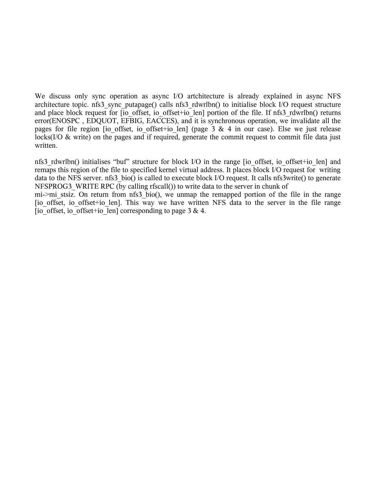We discuss only sync operation as async I/O artchitecture is already explained in async NFS architecture topic. nfs3\_sync\_putapage() calls nfs3\_rdwrlbn() to initialise block I/O request structure and place block request for [io\_offset, io\_offset+io\_len] portion of the file. If nfs3\_rdwrlbn() returns error(ENOSPC , EDQUOT, EFBIG, EACCES), and it is synchronous operation, we invalidate all the pages for file region [io offset, io offset+io len] (page 3 & 4 in our case). Else we just release locks(I/O & write) on the pages and if required, generate the commit request to commit file data just written.

nfs3 rdwrlbn() initialises "buf" structure for block I/O in the range [io\_offset, io\_offset+io\_len] and remaps this region of the file to specified kernel virtual address. It places block I/O request for writing data to the NFS server. nfs3 bio() is called to execute block I/O request. It calls nfs3write() to generate NFSPROG3 WRITE RPC (by calling rfscall()) to write data to the server in chunk of

mi->mi\_stsiz. On return from nfs3 bio(), we unmap the remapped portion of the file in the range [io\_offset, io\_offset+io\_len]. This way we have written NFS data to the server in the file range [io\_offset, io\_offset+io\_len] corresponding to page 3 & 4.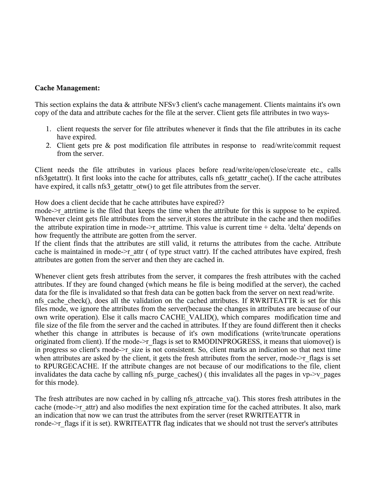#### **Cache Management:**

This section explains the data & attribute NFSv3 client's cache management. Clients maintains it's own copy of the data and attribute caches for the file at the server. Client gets file attributes in two ways-

- 1. client requests the server for file attributes whenever it finds that the file attributes in its cache have expired.
- 2. Client gets pre & post modification file attributes in response to read/write/commit request from the server.

Client needs the file attributes in various places before read/write/open/close/create etc., calls nfs3getattr(). It first looks into the cache for attributes, calls nfs\_getattr\_cache(). If the cache attributes have expired, it calls nfs3 getattr otw() to get file attributes from the server.

How does a client decide that he cache attributes have expired??

rnode->r\_attrtime is the filed that keeps the time when the attribute for this is suppose to be expired. Whenever cleint gets file attributes from the server, it stores the attribute in the cache and then modifies the attribute expiration time in rnode- $\geq$ r attrtime. This value is current time + delta. 'delta' depends on how frequently the attribute are gotten from the server.

If the client finds that the attributes are still valid, it returns the attributes from the cache. Attribute cache is maintained in rnode- $\geq r$  attr ( of type struct vattr). If the cached attributes have expired, fresh attributes are gotten from the server and then they are cached in.

Whenever client gets fresh attributes from the server, it compares the fresh attributes with the cached attributes. If they are found changed (which means he file is being modified at the server), the cached data for the file is invalidated so that fresh data can be gotten back from the server on next read/write. nfs cache check(), does all the validation on the cached attributes. If RWRITEATTR is set for this files rnode, we ignore the attributes from the server(because the changes in attributes are because of our own write operation). Else it calls macro CACHE\_VALID(), which compares modification time and file size of the file from the server and the cached in attributes. If they are found different then it checks whether this change in attributes is because of it's own modifications (write/truncate operations originated from client). If the rnode->r flags is set to RMODINPROGRESS, it means that uiomove() is in progress so client's rnode- $\geq r$  size is not consistent. So, client marks an indication so that next time when attributes are asked by the client, it gets the fresh attributes from the server, rnode- $\geq r$  flags is set to RPURGECACHE. If the attribute changes are not because of our modifications to the file, client invalidates the data cache by calling nfs\_purge\_caches() ( this invalidates all the pages in vp- $\geq$ y\_pages for this rnode).

The fresh attributes are now cached in by calling nfs attrcache va(). This stores fresh attributes in the cache (rnode->r\_attr) and also modifies the next expiration time for the cached attributes. It also, mark an indication that now we can trust the attributes from the server (reset RWRITEATTR in ronde->r\_flags if it is set). RWRITEATTR flag indicates that we should not trust the server's attributes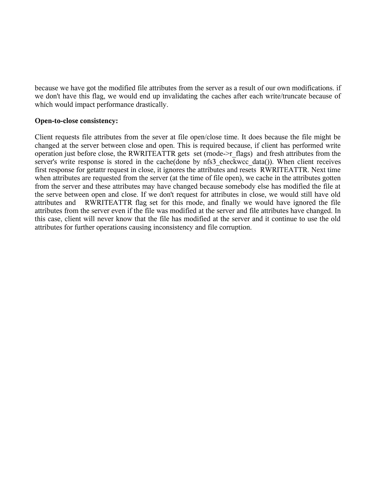because we have got the modified file attributes from the server as a result of our own modifications. if we don't have this flag, we would end up invalidating the caches after each write/truncate because of which would impact performance drastically.

#### **Open-to-close consistency:**

Client requests file attributes from the sever at file open/close time. It does because the file might be changed at the server between close and open. This is required because, if client has performed write operation just before close, the RWRITEATTR gets set (rnode->r\_flags) and fresh attributes from the server's write response is stored in the cache(done by nfs3 checkwcc data()). When client receives first response for getattr request in close, it ignores the attributes and resets RWRITEATTR. Next time when attributes are requested from the server (at the time of file open), we cache in the attributes gotten from the server and these attributes may have changed because somebody else has modified the file at the serve between open and close. If we don't request for attributes in close, we would still have old attributes and RWRITEATTR flag set for this rnode, and finally we would have ignored the file attributes from the server even if the file was modified at the server and file attributes have changed. In this case, client will never know that the file has modified at the server and it continue to use the old attributes for further operations causing inconsistency and file corruption.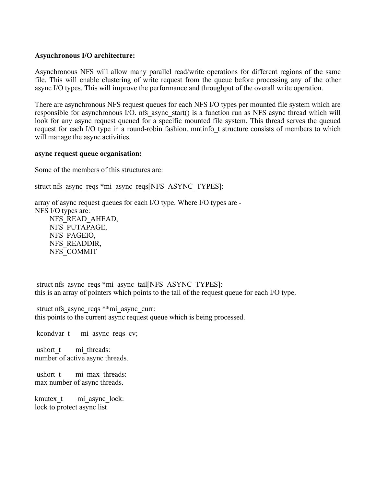#### **Asynchronous I/O architecture:**

Asynchronous NFS will allow many parallel read/write operations for different regions of the same file. This will enable clustering of write request from the queue before processing any of the other async I/O types. This will improve the performance and throughput of the overall write operation.

There are asynchronous NFS request queues for each NFS I/O types per mounted file system which are responsible for asynchronous I/O. nfs async\_start() is a function run as NFS async thread which will look for any async request queued for a specific mounted file system. This thread serves the queued request for each I/O type in a round-robin fashion. mntinfo\_t structure consists of members to which will manage the async activities.

#### **async request queue organisation:**

Some of the members of this structures are:

struct nfs\_async\_reqs \*mi\_async\_reqs[NFS\_ASYNC\_TYPES]:

array of async request queues for each I/O type. Where I/O types are - NFS I/O types are: NFS\_READ\_AHEAD, NFS\_PUTAPAGE, NFS\_PAGEIO, NFS\_READDIR, NFS\_COMMIT

struct nfs\_async\_reqs \*mi\_async\_tail[NFS\_ASYNC\_TYPES]: this is an array of pointers which points to the tail of the request queue for each I/O type.

struct nfs async reqs \*\*mi\_async\_curr: this points to the current async request queue which is being processed.

kcondvar t mi\_async\_reqs\_cv;

ushort t mi threads: number of active async threads.

ushort t mi\_max\_threads: max number of async threads.

kmutex t mi\_async\_lock: lock to protect async list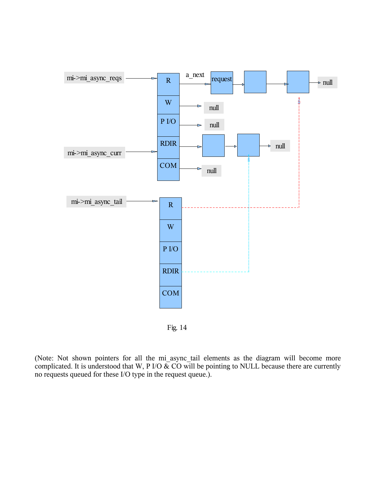![](_page_25_Figure_0.jpeg)

![](_page_25_Figure_1.jpeg)

(Note: Not shown pointers for all the mi\_async\_tail elements as the diagram will become more complicated. It is understood that W, P I/O  $\&$  CO will be pointing to NULL because there are currently no requests queued for these I/O type in the request queue.).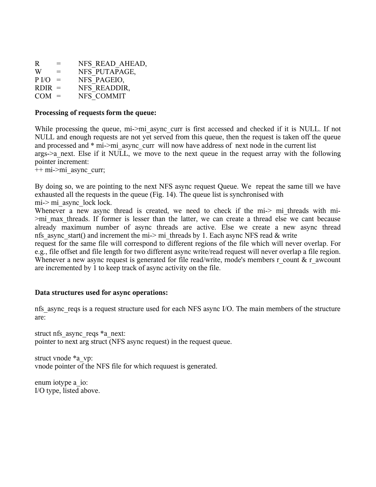| R                | $=$ | NFS READ AHEAD, |
|------------------|-----|-----------------|
| W                | $=$ | NFS PUTAPAGE,   |
| P <sub>I/O</sub> | $=$ | NFS PAGEIO,     |
| $RDIR =$         |     | NFS READDIR,    |
| $COM =$          |     | NFS COMMIT      |

#### **Processing of requests form the queue:**

While processing the queue, mi->mi\_async\_curr is first accessed and checked if it is NULL. If not NULL and enough requests are not yet served from this queue, then the request is taken off the queue and processed and  $*$  mi- $>$ mi async curr will now have address of next node in the current list args->a\_next. Else if it NULL, we move to the next queue in the request array with the following pointer increment:

++ mi->mi\_async\_curr;

By doing so, we are pointing to the next NFS async request Queue. We repeat the same till we have exhausted all the requests in the queue (Fig. 14). The queue list is synchronised with mi-> mi\_async\_lock lock.

Whenever a new async thread is created, we need to check if the mi-> mi threads with mi->mi\_max\_threads. If former is lesser than the latter, we can create a thread else we cant because already maximum number of async threads are active. Else we create a new async thread nfs async start() and increment the mi-> mi threads by 1. Each async NFS read & write

request for the same file will correspond to different regions of the file which will never overlap. For e.g., file offset and file length for two different async write/read request will never overlap a file region. Whenever a new async request is generated for file read/write, rnode's members r\_count & r\_awcount are incremented by 1 to keep track of async activity on the file.

### **Data structures used for async operations:**

nfs\_async\_reqs is a request structure used for each NFS async I/O. The main members of the structure are:

struct nfs async reqs \*a\_next: pointer to next arg struct (NFS async request) in the request queue.

struct vnode \*a\_vp: vnode pointer of the NFS file for which requuest is generated.

enum iotype a\_io: I/O type, listed above.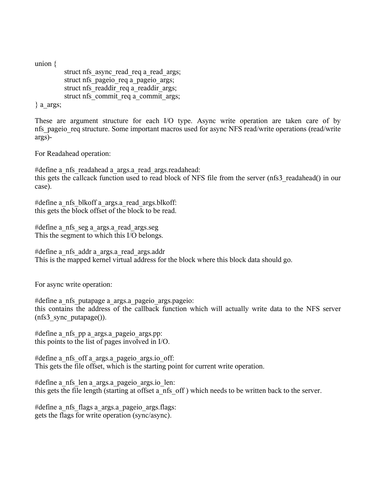union {

struct nfs async read req a read args; struct nfs pageio req a pageio args; struct nfs\_readdir\_req a\_readdir\_args; struct nfs\_commit\_req a\_commit\_args;

} a\_args;

These are argument structure for each I/O type. Async write operation are taken care of by nfs pageio req structure. Some important macros used for async NFS read/write operations (read/write args)-

For Readahead operation:

#define a\_nfs\_readahead a\_args.a\_read\_args.readahead: this gets the callcack function used to read block of NFS file from the server (nfs3\_readahead() in our case).

#define a\_nfs\_blkoff a\_args.a\_read\_args.blkoff: this gets the block offset of the block to be read.

#define a\_nfs\_seg a\_args.a\_read\_args.seg This the segment to which this I/O belongs.

#define a\_nfs\_addr a\_args.a\_read\_args.addr This is the mapped kernel virtual address for the block where this block data should go.

For async write operation:

#define a\_nfs\_putapage a\_args.a\_pageio\_args.pageio: this contains the address of the callback function which will actually write data to the NFS server (nfs3\_sync\_putapage()).

#define a\_nfs\_pp a\_args.a\_pageio\_args.pp: this points to the list of pages involved in I/O.

#define a\_nfs\_off a\_args.a\_pageio\_args.io\_off: This gets the file offset, which is the starting point for current write operation.

#define a\_nfs\_len a\_args.a\_pageio\_args.io\_len: this gets the file length (starting at offset a\_nfs\_off ) which needs to be written back to the server.

#define a\_nfs\_flags a\_args.a\_pageio\_args.flags: gets the flags for write operation (sync/async).